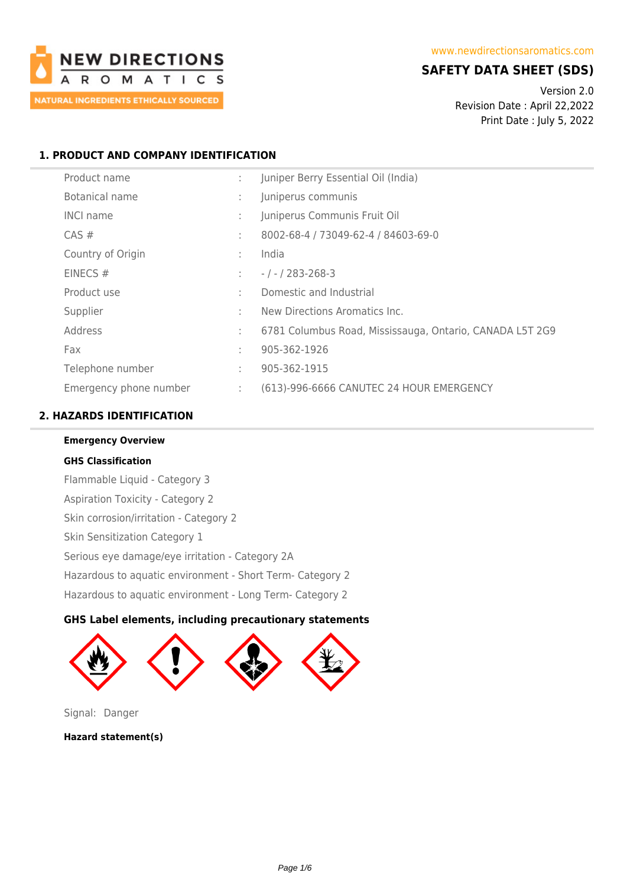

# **SAFETY DATA SHEET (SDS)**

Version 2.0 Revision Date : April 22,2022 Print Date : July 5, 2022

# **1. PRODUCT AND COMPANY IDENTIFICATION**

| Product name           | ÷  | Juniper Berry Essential Oil (India)                      |
|------------------------|----|----------------------------------------------------------|
| Botanical name         | ÷  | Juniperus communis                                       |
| <b>INCI name</b>       | t. | Juniperus Communis Fruit Oil                             |
| $CAS \#$               | ÷  | 8002-68-4 / 73049-62-4 / 84603-69-0                      |
| Country of Origin      | ÷  | India                                                    |
| EINECS $#$             | ÷  | $-1 - 283 - 268 - 3$                                     |
| Product use            | ÷  | Domestic and Industrial                                  |
| Supplier               | ٠  | New Directions Aromatics Inc.                            |
| Address                | ÷  | 6781 Columbus Road, Mississauga, Ontario, CANADA L5T 2G9 |
| Fax                    | ÷  | 905-362-1926                                             |
| Telephone number       | ÷  | 905-362-1915                                             |
| Emergency phone number | ÷. | (613)-996-6666 CANUTEC 24 HOUR EMERGENCY                 |

# **2. HAZARDS IDENTIFICATION**

**Emergency Overview GHS Classification** Flammable Liquid - Category 3 Aspiration Toxicity - Category 2 Skin corrosion/irritation - Category 2 Skin Sensitization Category 1 Serious eye damage/eye irritation - Category 2A Hazardous to aquatic environment - Short Term- Category 2 Hazardous to aquatic environment - Long Term- Category 2

# **GHS Label elements, including precautionary statements**



Signal: Danger

**Hazard statement(s)**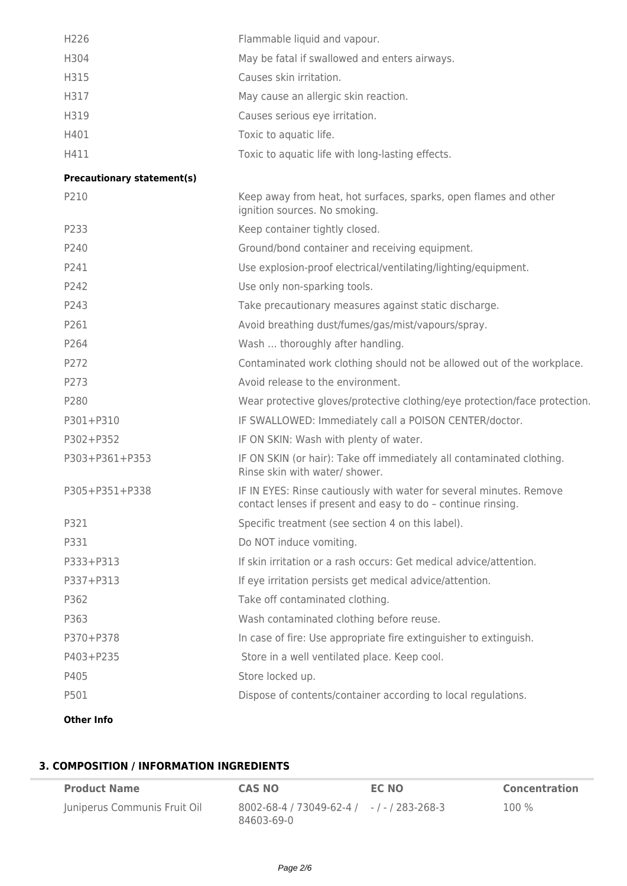| H226 | Flammable liquid and vapour.                     |
|------|--------------------------------------------------|
| H304 | May be fatal if swallowed and enters airways.    |
| H315 | Causes skin irritation.                          |
| H317 | May cause an allergic skin reaction.             |
| H319 | Causes serious eye irritation.                   |
| H401 | Toxic to aquatic life.                           |
| H411 | Toxic to aquatic life with long-lasting effects. |

## **Precautionary statement(s)**

| P210              | Keep away from heat, hot surfaces, sparks, open flames and other<br>ignition sources. No smoking.                                   |
|-------------------|-------------------------------------------------------------------------------------------------------------------------------------|
| P233              | Keep container tightly closed.                                                                                                      |
| P240              | Ground/bond container and receiving equipment.                                                                                      |
| P241              | Use explosion-proof electrical/ventilating/lighting/equipment.                                                                      |
| P242              | Use only non-sparking tools.                                                                                                        |
| P243              | Take precautionary measures against static discharge.                                                                               |
| P261              | Avoid breathing dust/fumes/gas/mist/vapours/spray.                                                                                  |
| P264              | Wash  thoroughly after handling.                                                                                                    |
| P272              | Contaminated work clothing should not be allowed out of the workplace.                                                              |
| P273              | Avoid release to the environment.                                                                                                   |
| P280              | Wear protective gloves/protective clothing/eye protection/face protection.                                                          |
| P301+P310         | IF SWALLOWED: Immediately call a POISON CENTER/doctor.                                                                              |
| P302+P352         | IF ON SKIN: Wash with plenty of water.                                                                                              |
| P303+P361+P353    | IF ON SKIN (or hair): Take off immediately all contaminated clothing.<br>Rinse skin with water/ shower.                             |
| P305+P351+P338    | IF IN EYES: Rinse cautiously with water for several minutes. Remove<br>contact lenses if present and easy to do - continue rinsing. |
| P321              | Specific treatment (see section 4 on this label).                                                                                   |
| P331              | Do NOT induce vomiting.                                                                                                             |
| P333+P313         | If skin irritation or a rash occurs: Get medical advice/attention.                                                                  |
| P337+P313         | If eye irritation persists get medical advice/attention.                                                                            |
| P362              | Take off contaminated clothing.                                                                                                     |
| P363              | Wash contaminated clothing before reuse.                                                                                            |
| P370+P378         | In case of fire: Use appropriate fire extinguisher to extinguish.                                                                   |
| P403+P235         | Store in a well ventilated place. Keep cool.                                                                                        |
| P405              | Store locked up.                                                                                                                    |
| P501              | Dispose of contents/container according to local regulations.                                                                       |
| <b>Other Info</b> |                                                                                                                                     |

# **3. COMPOSITION / INFORMATION INGREDIENTS**

| <b>Product Name</b>          | <b>CAS NO</b>                                                       | EC NO | <b>Concentration</b> |
|------------------------------|---------------------------------------------------------------------|-------|----------------------|
| Juniperus Communis Fruit Oil | $8002 - 68 - 4 / 73049 - 62 - 4 / -1 - 283 - 268 - 3$<br>84603-69-0 |       | 100 %                |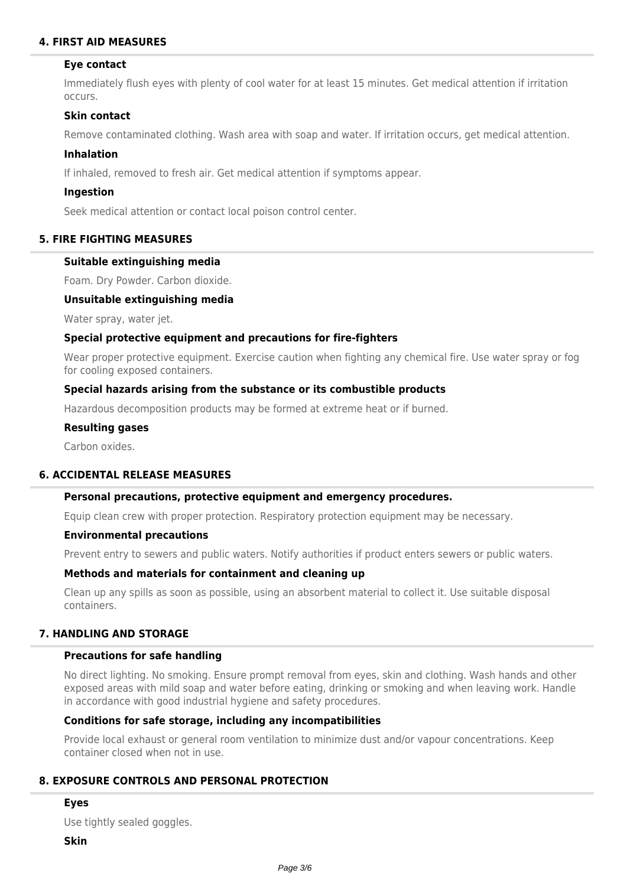# **4. FIRST AID MEASURES**

#### **Eye contact**

Immediately flush eyes with plenty of cool water for at least 15 minutes. Get medical attention if irritation occurs.

#### **Skin contact**

Remove contaminated clothing. Wash area with soap and water. If irritation occurs, get medical attention.

#### **Inhalation**

If inhaled, removed to fresh air. Get medical attention if symptoms appear.

#### **Ingestion**

Seek medical attention or contact local poison control center.

#### **5. FIRE FIGHTING MEASURES**

#### **Suitable extinguishing media**

Foam. Dry Powder. Carbon dioxide.

#### **Unsuitable extinguishing media**

Water spray, water jet.

#### **Special protective equipment and precautions for fire-fighters**

Wear proper protective equipment. Exercise caution when fighting any chemical fire. Use water spray or fog for cooling exposed containers.

#### **Special hazards arising from the substance or its combustible products**

Hazardous decomposition products may be formed at extreme heat or if burned.

#### **Resulting gases**

Carbon oxides.

#### **6. ACCIDENTAL RELEASE MEASURES**

# **Personal precautions, protective equipment and emergency procedures.**

Equip clean crew with proper protection. Respiratory protection equipment may be necessary.

#### **Environmental precautions**

Prevent entry to sewers and public waters. Notify authorities if product enters sewers or public waters.

#### **Methods and materials for containment and cleaning up**

Clean up any spills as soon as possible, using an absorbent material to collect it. Use suitable disposal containers.

# **7. HANDLING AND STORAGE**

#### **Precautions for safe handling**

No direct lighting. No smoking. Ensure prompt removal from eyes, skin and clothing. Wash hands and other exposed areas with mild soap and water before eating, drinking or smoking and when leaving work. Handle in accordance with good industrial hygiene and safety procedures.

# **Conditions for safe storage, including any incompatibilities**

Provide local exhaust or general room ventilation to minimize dust and/or vapour concentrations. Keep container closed when not in use.

# **8. EXPOSURE CONTROLS AND PERSONAL PROTECTION**

#### **Eyes**

Use tightly sealed goggles.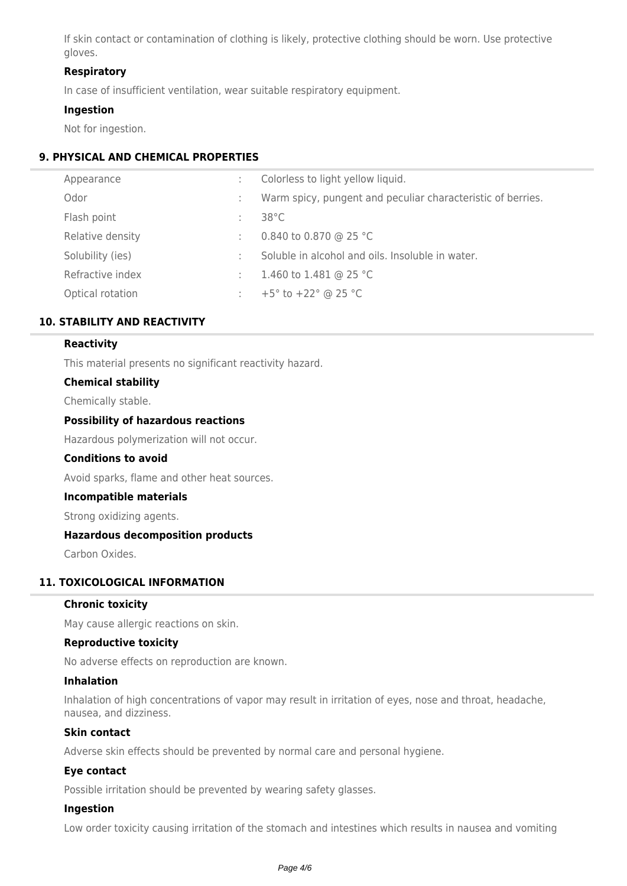If skin contact or contamination of clothing is likely, protective clothing should be worn. Use protective gloves.

# **Respiratory**

In case of insufficient ventilation, wear suitable respiratory equipment.

#### **Ingestion**

Not for ingestion.

# **9. PHYSICAL AND CHEMICAL PROPERTIES**

| Appearance       |    | Colorless to light yellow liquid.                           |
|------------------|----|-------------------------------------------------------------|
| Odor             |    | Warm spicy, pungent and peculiar characteristic of berries. |
| Flash point      | ÷. | $38^{\circ}$ C                                              |
| Relative density | ÷  | 0.840 to 0.870 @ 25 °C                                      |
| Solubility (ies) |    | Soluble in alcohol and oils. Insoluble in water.            |
| Refractive index | ÷. | 1.460 to 1.481 @ 25 °C                                      |
| Optical rotation |    | +5 $^{\circ}$ to +22 $^{\circ}$ @ 25 $^{\circ}$ C           |

# **10. STABILITY AND REACTIVITY**

## **Reactivity**

This material presents no significant reactivity hazard.

#### **Chemical stability**

Chemically stable.

## **Possibility of hazardous reactions**

Hazardous polymerization will not occur.

#### **Conditions to avoid**

Avoid sparks, flame and other heat sources.

#### **Incompatible materials**

Strong oxidizing agents.

# **Hazardous decomposition products**

Carbon Oxides.

# **11. TOXICOLOGICAL INFORMATION**

#### **Chronic toxicity**

May cause allergic reactions on skin.

# **Reproductive toxicity**

No adverse effects on reproduction are known.

#### **Inhalation**

Inhalation of high concentrations of vapor may result in irritation of eyes, nose and throat, headache, nausea, and dizziness.

#### **Skin contact**

Adverse skin effects should be prevented by normal care and personal hygiene.

# **Eye contact**

Possible irritation should be prevented by wearing safety glasses.

## **Ingestion**

Low order toxicity causing irritation of the stomach and intestines which results in nausea and vomiting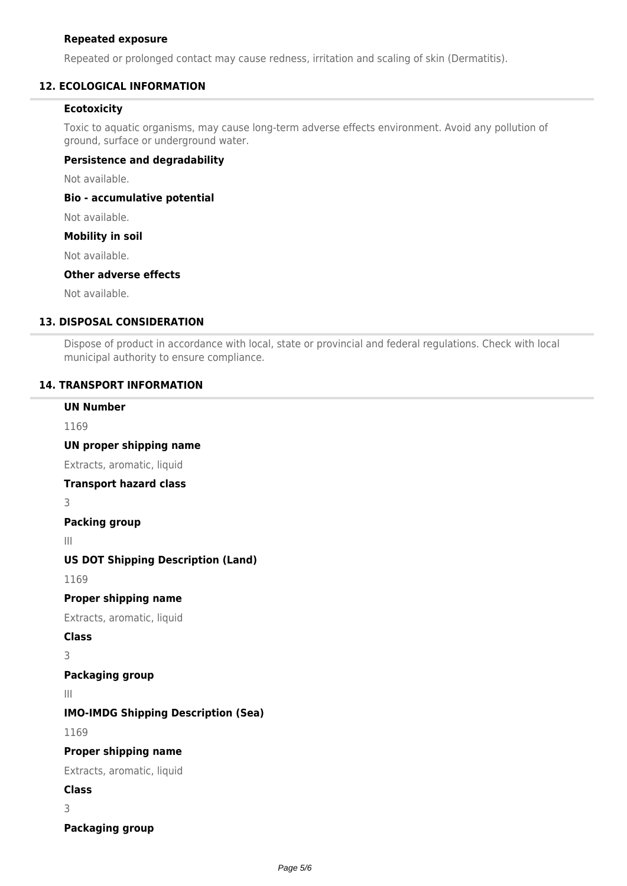## **Repeated exposure**

Repeated or prolonged contact may cause redness, irritation and scaling of skin (Dermatitis).

# **12. ECOLOGICAL INFORMATION**

# **Ecotoxicity**

Toxic to aquatic organisms, may cause long-term adverse effects environment. Avoid any pollution of ground, surface or underground water.

# **Persistence and degradability**

Not available.

**Bio - accumulative potential**

Not available.

# **Mobility in soil**

Not available.

## **Other adverse effects**

Not available.

# **13. DISPOSAL CONSIDERATION**

Dispose of product in accordance with local, state or provincial and federal regulations. Check with local municipal authority to ensure compliance.

# **14. TRANSPORT INFORMATION**

# **UN Number**

1169

**UN proper shipping name**

Extracts, aromatic, liquid

# **Transport hazard class**

3

**Packing group**

III

# **US DOT Shipping Description (Land)**

1169

# **Proper shipping name**

Extracts, aromatic, liquid

**Class**

3

# **Packaging group**

III

# **IMO-IMDG Shipping Description (Sea)**

1169

# **Proper shipping name**

Extracts, aromatic, liquid

**Class**

3

**Packaging group**